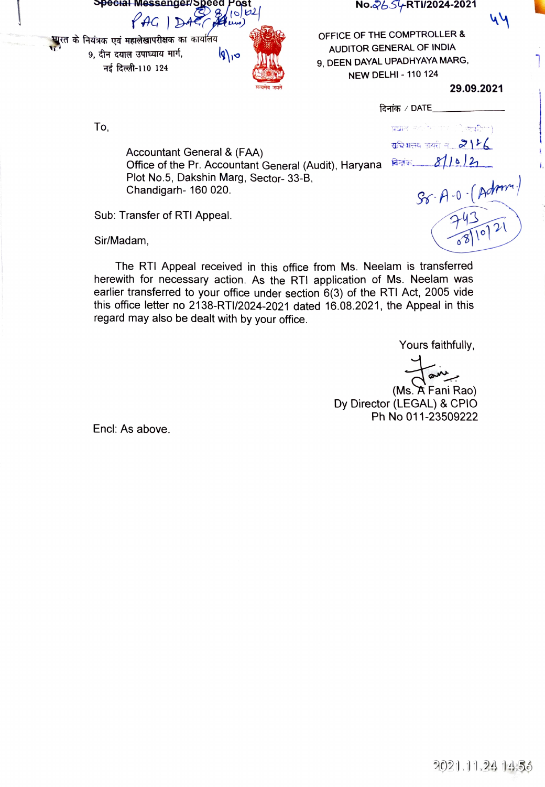$\frac{1}{2}$  No. $\frac{2}{5}$ /RTI/2024-2021

 $\overline{D}$ 

AUDITOR GENERAL OF THE COMPTROLLER<br>9, दीन दयाल उपाध्याय मार्ग,  $\left.\begin{array}{c} |q| \rightarrow 0 \\ |q| \rightarrow 0 \end{array}\right|$  auditor General Of INDIA<br>2, DEEN DAYAL UPADHYAYA MAR

 $YAG$ 



OFFICE OF THE COMPTROLLER&  $T_{\rm eff}$  110 124  $T_{\rm eff}$  9, DEEN DAYAL UPADHYAYA MARG, NEW DELHI - 110 124

29.09.2021

44

743,  $-743$ <br>243021

To,

दिनांक  $\angle$  DATE\_

प्रधान *परले*च्या एक (ी.क्युटिका) सरियातय अयरी नं.. $2156$ 

Accountant General & (FAA) Office of the Pr. Accountant General (Audit), Haryana Plot No.5, Dakshin Marg, Sector-33-B, Chandigarh-160 020. Chandigarh- 160 020. Same of the set of  $\mathcal{G}_6$ - $\beta$ -0  $\beta$ dm<sup>o</sup>

Sub: Transfer of RTI Appeal.

Sir/Madam,

The RTI Appeal received in this office from Ms. Neelam is transferred herewith for necessary action. As the RTI application of Ms. Neelam was earlier transferred to your office under section 6(3) of the RTI Act, 2005 vide this office letter no 2138-RTI/2024-2021 dated 16.08.2021, the Appeal in this regard may also be dealt with by your office

Yours faithfully,

(Ms.A Fani Rao) Dy Director (LEGAL) & CPIO Ph No 011-23509222

Encl: As above.